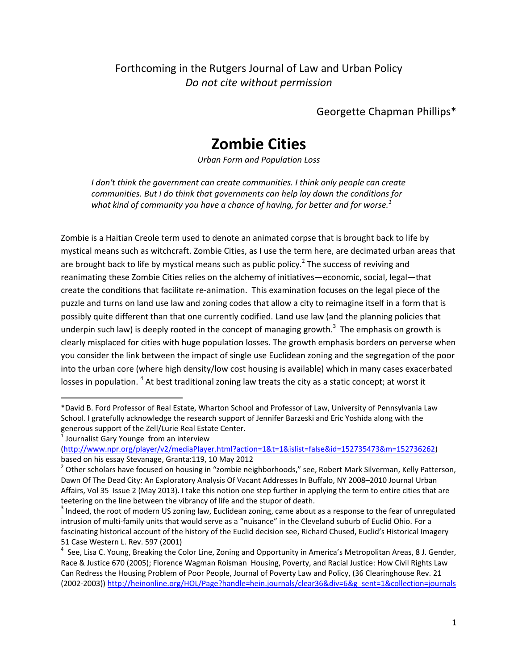Forthcoming in the Rutgers Journal of Law and Urban Policy *Do not cite without permission*

Georgette Chapman Phillips\*

# **Zombie Cities**

*Urban Form and Population Loss*

*I don't think the government can create communities. I think only people can create communities. But I do think that governments can help lay down the conditions for what kind of community you have a chance of having, for better and for worse.<sup>1</sup>*

Zombie is a Haitian Creole term used to denote an animated corpse that is brought back to life by mystical means such as witchcraft. Zombie Cities, as I use the term here, are decimated urban areas that are brought back to life by mystical means such as public policy.<sup>2</sup> The success of reviving and reanimating these Zombie Cities relies on the alchemy of initiatives—economic, social, legal—that create the conditions that facilitate re‐animation. This examination focuses on the legal piece of the puzzle and turns on land use law and zoning codes that allow a city to reimagine itself in a form that is possibly quite different than that one currently codified. Land use law (and the planning policies that underpin such law) is deeply rooted in the concept of managing growth.<sup>3</sup> The emphasis on growth is clearly misplaced for cities with huge population losses. The growth emphasis borders on perverse when you consider the link between the impact of single use Euclidean zoning and the segregation of the poor into the urban core (where high density/low cost housing is available) which in many cases exacerbated losses in population. <sup>4</sup> At best traditional zoning law treats the city as a static concept; at worst it

<sup>\*</sup>David B. Ford Professor of Real Estate, Wharton School and Professor of Law, University of Pennsylvania Law School. I gratefully acknowledge the research support of Jennifer Barzeski and Eric Yoshida along with the generous support of the Zell/Lurie Real Estate Center.<br><sup>1</sup> Journalist Gary Younge from an interview

<sup>(</sup>http://www.npr.org/player/v2/mediaPlayer.html?action=1&t=1&islist=false&id=152735473&m=152736262)<br>based on his essay Stevanage, Granta:119, 10 May 2012

<sup>&</sup>lt;sup>2</sup> Other scholars have focused on housing in "zombie neighborhoods," see, Robert Mark Silverman, Kelly Patterson, Dawn Of The Dead City: An Exploratory Analysis Of Vacant Addresses In Buffalo, NY 2008–2010 Journal Urban Affairs, Vol 35 Issue 2 (May 2013). I take this notion one step further in applying the term to entire cities that are teetering on the line between the vibrancy of life and the stupor of death.<br><sup>3</sup> Indeed, the root of modern US zoning law, Euclidean zoning, came about as a response to the fear of unregulated

intrusion of multi‐family units that would serve as a "nuisance" in the Cleveland suburb of Euclid Ohio. For a fascinating historical account of the history of the Euclid decision see, Richard Chused, Euclid's Historical Imagery

<sup>51</sup> Case Western L. Rev. 597 (2001)<br><sup>4</sup> See, Lisa C. Young, Breaking the Color Line, Zoning and Opportunity in America's Metropolitan Areas, 8 J. Gender, Race & Justice 670 (2005); Florence Wagman Roisman Housing, Poverty, and Racial Justice: How Civil Rights Law Can Redress the Housing Problem of Poor People, Journal of Poverty Law and Policy, (36 Clearinghouse Rev. 21 (2002‐2003)) http://heinonline.org/HOL/Page?handle=hein.journals/clear36&div=6&g\_sent=1&collection=journals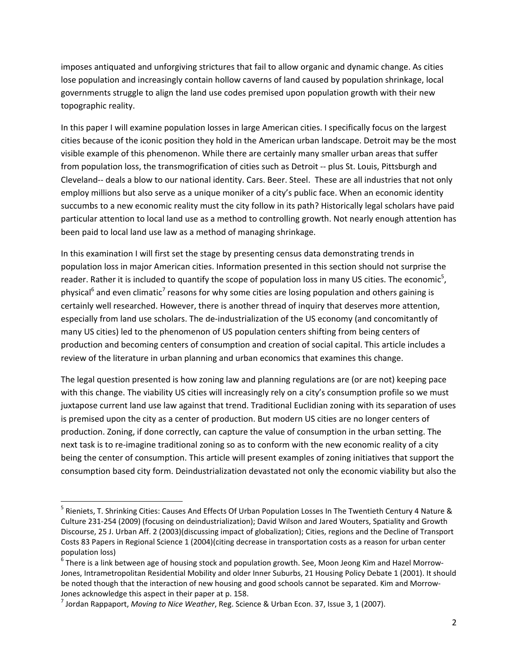imposes antiquated and unforgiving strictures that fail to allow organic and dynamic change. As cities lose population and increasingly contain hollow caverns of land caused by population shrinkage, local governments struggle to align the land use codes premised upon population growth with their new topographic reality.

In this paper I will examine population losses in large American cities. I specifically focus on the largest cities because of the iconic position they hold in the American urban landscape. Detroit may be the most visible example of this phenomenon. While there are certainly many smaller urban areas that suffer from population loss, the transmogrification of cities such as Detroit -- plus St. Louis, Pittsburgh and Cleveland‐‐ deals a blow to our national identity. Cars. Beer. Steel. These are all industries that not only employ millions but also serve as a unique moniker of a city's public face. When an economic identity succumbs to a new economic reality must the city follow in its path? Historically legal scholars have paid particular attention to local land use as a method to controlling growth. Not nearly enough attention has been paid to local land use law as a method of managing shrinkage.

In this examination I will first set the stage by presenting census data demonstrating trends in population loss in major American cities. Information presented in this section should not surprise the reader. Rather it is included to quantify the scope of population loss in many US cities. The economic<sup>5</sup>, physical<sup>6</sup> and even climatic<sup>7</sup> reasons for why some cities are losing population and others gaining is certainly well researched. However, there is another thread of inquiry that deserves more attention, especially from land use scholars. The de‐industrialization of the US economy (and concomitantly of many US cities) led to the phenomenon of US population centers shifting from being centers of production and becoming centers of consumption and creation of social capital. This article includes a review of the literature in urban planning and urban economics that examines this change.

The legal question presented is how zoning law and planning regulations are (or are not) keeping pace with this change. The viability US cities will increasingly rely on a city's consumption profile so we must juxtapose current land use law against that trend. Traditional Euclidian zoning with its separation of uses is premised upon the city as a center of production. But modern US cities are no longer centers of production. Zoning, if done correctly, can capture the value of consumption in the urban setting. The next task is to re-imagine traditional zoning so as to conform with the new economic reality of a city being the center of consumption. This article will present examples of zoning initiatives that support the consumption based city form. Deindustrialization devastated not only the economic viability but also the

<sup>5</sup> Rieniets, T. Shrinking Cities: Causes And Effects Of Urban Population Losses In The Twentieth Century 4 Nature & Culture 231‐254 (2009) (focusing on deindustrialization); David Wilson and Jared Wouters, Spatiality and Growth Discourse, 25 J. Urban Aff. 2 (2003)(discussing impact of globalization); Cities, regions and the Decline of Transport Costs 83 Papers in Regional Science 1 (2004)(citing decrease in transportation costs as a reason for urban center population loss)<br><sup>6</sup> There is a link between age of housing stock and population growth. See, Moon Jeong Kim and Hazel Morrow-

Jones, Intrametropolitan Residential Mobility and older Inner Suburbs, 21 Housing Policy Debate 1 (2001). It should be noted though that the interaction of new housing and good schools cannot be separated. Kim and Morrow-Jones acknowledge this aspect in their paper at p. 158.<br><sup>7</sup> Jordan Rappaport, *Moving to Nice Weather*, Reg. Science & Urban Econ. 37, Issue 3, 1 (2007).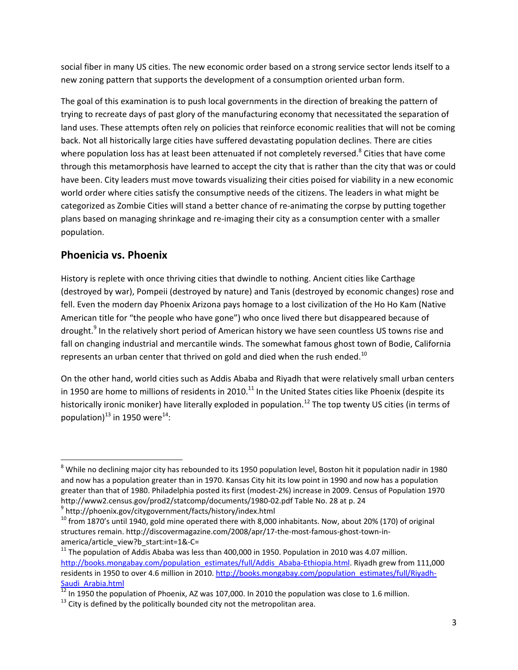social fiber in many US cities. The new economic order based on a strong service sector lends itself to a new zoning pattern that supports the development of a consumption oriented urban form.

The goal of this examination is to push local governments in the direction of breaking the pattern of trying to recreate days of past glory of the manufacturing economy that necessitated the separation of land uses. These attempts often rely on policies that reinforce economic realities that will not be coming back. Not all historically large cities have suffered devastating population declines. There are cities where population loss has at least been attenuated if not completely reversed.<sup>8</sup> Cities that have come through this metamorphosis have learned to accept the city that is rather than the city that was or could have been. City leaders must move towards visualizing their cities poised for viability in a new economic world order where cities satisfy the consumptive needs of the citizens. The leaders in what might be categorized as Zombie Cities will stand a better chance of re‐animating the corpse by putting together plans based on managing shrinkage and re‐imaging their city as a consumption center with a smaller population.

# **Phoenicia vs. Phoenix**

History is replete with once thriving cities that dwindle to nothing. Ancient cities like Carthage (destroyed by war), Pompeii (destroyed by nature) and Tanis (destroyed by economic changes) rose and fell. Even the modern day Phoenix Arizona pays homage to a lost civilization of the Ho Ho Kam (Native American title for "the people who have gone") who once lived there but disappeared because of drought.<sup>9</sup> In the relatively short period of American history we have seen countless US towns rise and fall on changing industrial and mercantile winds. The somewhat famous ghost town of Bodie, California represents an urban center that thrived on gold and died when the rush ended.<sup>10</sup>

On the other hand, world cities such as Addis Ababa and Riyadh that were relatively small urban centers in 1950 are home to millions of residents in 2010.<sup>11</sup> In the United States cities like Phoenix (despite its historically ironic moniker) have literally exploded in population.<sup>12</sup> The top twenty US cities (in terms of population) $^{13}$  in 1950 were<sup>14</sup>:

<sup>&</sup>lt;sup>8</sup> While no declining major city has rebounded to its 1950 population level, Boston hit it population nadir in 1980 and now has a population greater than in 1970. Kansas City hit its low point in 1990 and now has a population greater than that of 1980. Philadelphia posted its first (modest‐2%) increase in 2009. Census of Population 1970 http://www2.census.gov/prod2/statcomp/documents/1980-02.pdf Table No. 28 at p. 24 9 http://phoenix.gov/citygovernment/facts/history/index.html

 $10$  from 1870's until 1940, gold mine operated there with 8,000 inhabitants. Now, about 20% (170) of original structures remain. http://discovermagazine.com/2008/apr/17-the-most-famous-ghost-town-in-

america/article\_view?b\_start:int=1&-C=<br><sup>11</sup> The population of Addis Ababa was less than 400,000 in 1950. Population in 2010 was 4.07 million. http://books.mongabay.com/population\_estimates/full/Addis\_Ababa-Ethiopia.html. Riyadh grew from 111,000 residents in 1950 to over 4.6 million in 2010. http://books.mongabay.com/population\_estimates/full/Riyadh-Saudi\_Arabia.html  $12$  In 1950 the population of Phoenix, AZ was 107,000. In 2010 the population was close to 1.6 million.  $13$  City is defined by the politically bounded city not the metropolitan area.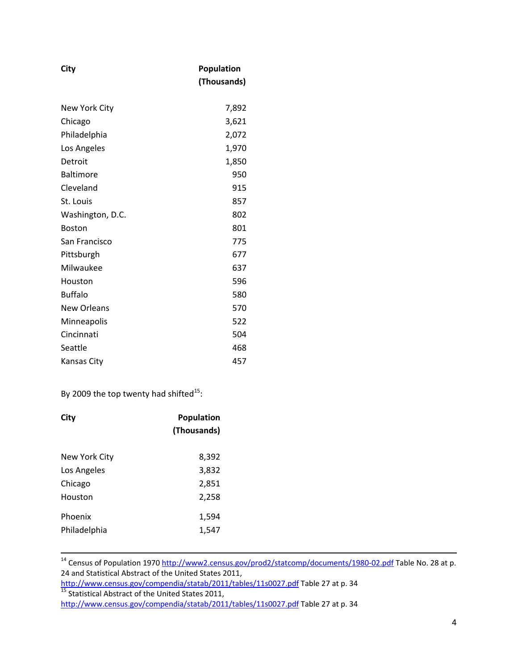| City               | Population<br>(Thousands) |
|--------------------|---------------------------|
| New York City      | 7,892                     |
| Chicago            | 3,621                     |
| Philadelphia       | 2,072                     |
| Los Angeles        | 1,970                     |
| Detroit            | 1,850                     |
| <b>Baltimore</b>   | 950                       |
| Cleveland          | 915                       |
| St. Louis          | 857                       |
| Washington, D.C.   | 802                       |
| <b>Boston</b>      | 801                       |
| San Francisco      | 775                       |
| Pittsburgh         | 677                       |
| Milwaukee          | 637                       |
| Houston            | 596                       |
| <b>Buffalo</b>     | 580                       |
| <b>New Orleans</b> | 570                       |
| Minneapolis        | 522                       |
| Cincinnati         | 504                       |
| Seattle            | 468                       |
| Kansas City        | 457                       |

By 2009 the top twenty had shifted $^{15}$ :

| City                    | <b>Population</b><br>(Thousands) |
|-------------------------|----------------------------------|
| New York City           | 8,392                            |
| Los Angeles             | 3,832                            |
| Chicago                 | 2,851                            |
| Houston                 | 2,258                            |
| Phoenix<br>Philadelphia | 1,594<br>1,547                   |

<sup>14</sup> Census of Population 1970 http://www2.census.gov/prod2/statcomp/documents/1980-02.pdf Table No. 28 at p. 24 and Statistical Abstract of the United States 2011,

http://www.census.gov/compendia/statab/2011/tables/11s0027.pdf Table <sup>27</sup> at p. <sup>34</sup> <sup>15</sup> Statistical Abstract of the United States 2011,

http://www.census.gov/compendia/statab/2011/tables/11s0027.pdf Table 27 at p. 34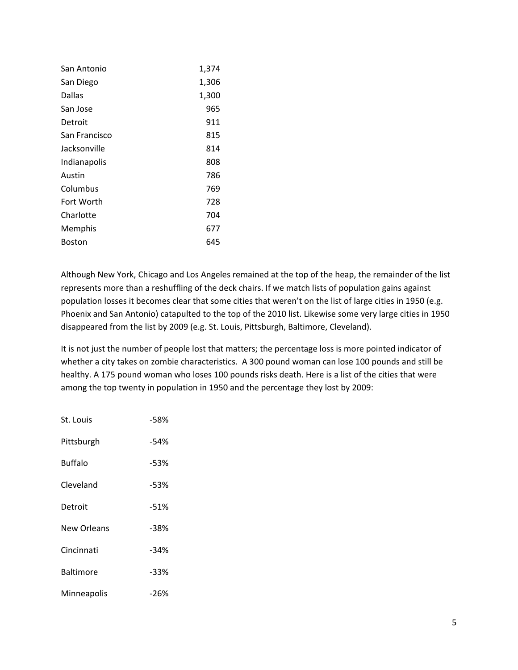| San Antonio   | 1,374 |
|---------------|-------|
| San Diego     | 1,306 |
| Dallas        | 1,300 |
| San Jose      | 965   |
| Detroit       | 911   |
| San Francisco | 815   |
| Jacksonville  | 814   |
| Indianapolis  | 808   |
| Austin        | 786   |
| Columbus      | 769   |
| Fort Worth    | 728   |
| Charlotte     | 704   |
| Memphis       | 677   |
| Boston        | 645   |
|               |       |

Although New York, Chicago and Los Angeles remained at the top of the heap, the remainder of the list represents more than a reshuffling of the deck chairs. If we match lists of population gains against population losses it becomes clear that some cities that weren't on the list of large cities in 1950 (e.g. Phoenix and San Antonio) catapulted to the top of the 2010 list. Likewise some very large cities in 1950 disappeared from the list by 2009 (e.g. St. Louis, Pittsburgh, Baltimore, Cleveland).

It is not just the number of people lost that matters; the percentage loss is more pointed indicator of whether a city takes on zombie characteristics. A 300 pound woman can lose 100 pounds and still be healthy. A 175 pound woman who loses 100 pounds risks death. Here is a list of the cities that were among the top twenty in population in 1950 and the percentage they lost by 2009:

| St. Louis        | $-58%$ |
|------------------|--------|
| Pittsburgh       | -54%   |
| <b>Buffalo</b>   | $-53%$ |
| Cleveland        | $-53%$ |
| Detroit          | $-51%$ |
| New Orleans      | -38%   |
| Cincinnati       | $-34%$ |
| <b>Baltimore</b> | -33%   |
| Minneapolis      | -26%   |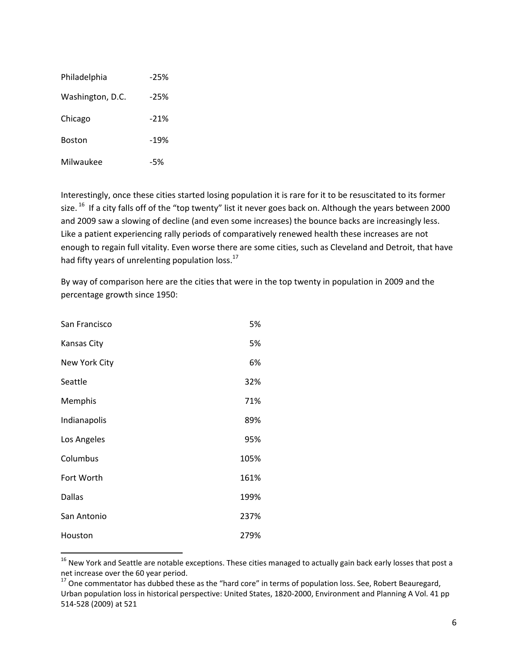| Philadelphia     | $-25%$ |
|------------------|--------|
| Washington, D.C. | $-25%$ |
| Chicago          | $-21%$ |
| <b>Boston</b>    | $-19%$ |
| Milwaukee        | -5%    |

Interestingly, once these cities started losing population it is rare for it to be resuscitated to its former size. <sup>16</sup> If a city falls off of the "top twenty" list it never goes back on. Although the years between 2000 and 2009 saw a slowing of decline (and even some increases) the bounce backs are increasingly less. Like a patient experiencing rally periods of comparatively renewed health these increases are not enough to regain full vitality. Even worse there are some cities, such as Cleveland and Detroit, that have had fifty years of unrelenting population loss.<sup>17</sup>

By way of comparison here are the cities that were in the top twenty in population in 2009 and the percentage growth since 1950:

| San Francisco      | 5%   |
|--------------------|------|
| <b>Kansas City</b> | 5%   |
| New York City      | 6%   |
| Seattle            | 32%  |
| Memphis            | 71%  |
| Indianapolis       | 89%  |
| Los Angeles        | 95%  |
| Columbus           | 105% |
| Fort Worth         | 161% |
| <b>Dallas</b>      | 199% |
| San Antonio        | 237% |
| Houston            | 279% |

 $16$  New York and Seattle are notable exceptions. These cities managed to actually gain back early losses that post a net increase over the 60 year period.<br><sup>17</sup> One commentator has dubbed these as the "hard core" in terms of population loss. See, Robert Beauregard,

Urban population loss in historical perspective: United States, 1820‐2000, Environment and Planning A Vol. 41 pp 514‐528 (2009) at 521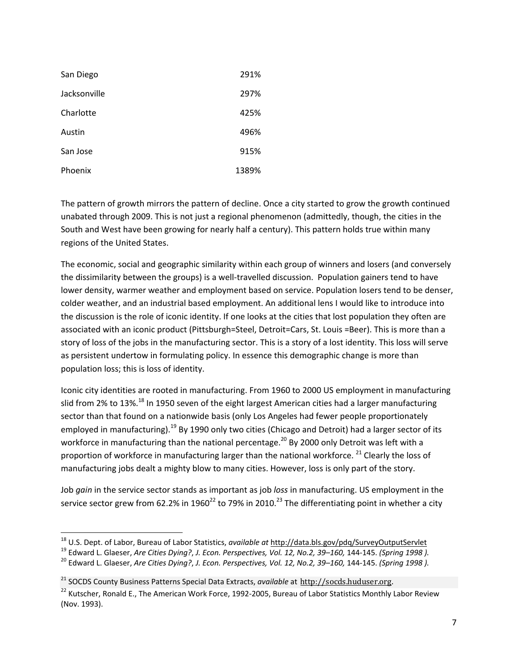| San Diego    | 291%  |
|--------------|-------|
| Jacksonville | 297%  |
| Charlotte    | 425%  |
| Austin       | 496%  |
| San Jose     | 915%  |
| Phoenix      | 1389% |

The pattern of growth mirrors the pattern of decline. Once a city started to grow the growth continued unabated through 2009. This is not just a regional phenomenon (admittedly, though, the cities in the South and West have been growing for nearly half a century). This pattern holds true within many regions of the United States.

The economic, social and geographic similarity within each group of winners and losers (and conversely the dissimilarity between the groups) is a well‐travelled discussion. Population gainers tend to have lower density, warmer weather and employment based on service. Population losers tend to be denser, colder weather, and an industrial based employment. An additional lens I would like to introduce into the discussion is the role of iconic identity. If one looks at the cities that lost population they often are associated with an iconic product (Pittsburgh=Steel, Detroit=Cars, St. Louis =Beer). This is more than a story of loss of the jobs in the manufacturing sector. This is a story of a lost identity. This loss will serve as persistent undertow in formulating policy. In essence this demographic change is more than population loss; this is loss of identity.

Iconic city identities are rooted in manufacturing. From 1960 to 2000 US employment in manufacturing slid from 2% to 13%.<sup>18</sup> In 1950 seven of the eight largest American cities had a larger manufacturing sector than that found on a nationwide basis (only Los Angeles had fewer people proportionately employed in manufacturing).<sup>19</sup> By 1990 only two cities (Chicago and Detroit) had a larger sector of its workforce in manufacturing than the national percentage.<sup>20</sup> By 2000 only Detroit was left with a proportion of workforce in manufacturing larger than the national workforce. <sup>21</sup> Clearly the loss of manufacturing jobs dealt a mighty blow to many cities. However, loss is only part of the story.

Job *gain* in the service sector stands as important as job *loss* in manufacturing. US employment in the service sector grew from 62.2% in 1960<sup>22</sup> to 79% in 2010.<sup>23</sup> The differentiating point in whether a city

<sup>&</sup>lt;sup>18</sup> U.S. Dept. of Labor, Bureau of Labor Statistics, *available at* http://data.bls.gov/pdq/SurveyOutputServlet<br><sup>19</sup> Edward L. Glaeser, *Are Cities Dying?, J. Econ. Perspectives, Vol. 12, No.2, 39–160, 144-145. (Spring 1* 

<sup>21</sup> SOCDS County Business Patterns Special Data Extracts, *available* at http://socds.huduser.org.

<sup>&</sup>lt;sup>22</sup> Kutscher, Ronald E., The American Work Force, 1992-2005, Bureau of Labor Statistics Monthly Labor Review (Nov. 1993).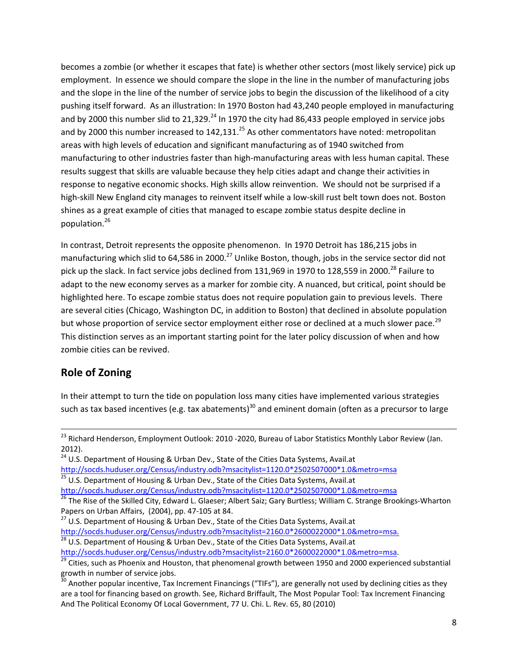becomes a zombie (or whether it escapes that fate) is whether other sectors (most likely service) pick up employment. In essence we should compare the slope in the line in the number of manufacturing jobs and the slope in the line of the number of service jobs to begin the discussion of the likelihood of a city pushing itself forward. As an illustration: In 1970 Boston had 43,240 people employed in manufacturing and by 2000 this number slid to 21,329. $^{24}$  In 1970 the city had 86,433 people employed in service jobs and by 2000 this number increased to  $142,131$ <sup>25</sup> As other commentators have noted: metropolitan areas with high levels of education and significant manufacturing as of 1940 switched from manufacturing to other industries faster than high-manufacturing areas with less human capital. These results suggest that skills are valuable because they help cities adapt and change their activities in response to negative economic shocks. High skills allow reinvention. We should not be surprised if a high‐skill New England city manages to reinvent itself while a low‐skill rust belt town does not. Boston shines as a great example of cities that managed to escape zombie status despite decline in population.<sup>26</sup>

In contrast, Detroit represents the opposite phenomenon. In 1970 Detroit has 186,215 jobs in manufacturing which slid to 64,586 in 2000.<sup>27</sup> Unlike Boston, though, jobs in the service sector did not pick up the slack. In fact service jobs declined from 131,969 in 1970 to 128,559 in 2000.<sup>28</sup> Failure to adapt to the new economy serves as a marker for zombie city. A nuanced, but critical, point should be highlighted here. To escape zombie status does not require population gain to previous levels. There are several cities (Chicago, Washington DC, in addition to Boston) that declined in absolute population but whose proportion of service sector employment either rose or declined at a much slower pace.<sup>29</sup> This distinction serves as an important starting point for the later policy discussion of when and how zombie cities can be revived.

# **Role of Zoning**

In their attempt to turn the tide on population loss many cities have implemented various strategies such as tax based incentives (e.g. tax abatements)<sup>30</sup> and eminent domain (often as a precursor to large

<sup>&</sup>lt;sup>23</sup> Richard Henderson, Employment Outlook: 2010 -2020, Bureau of Labor Statistics Monthly Labor Review (Jan. 2012).

<sup>&</sup>lt;sup>24</sup> U.S. Department of Housing & Urban Dev., State of the Cities Data Systems, Avail.at http://socds.huduser.org/Census/industry.odb?msacitylist=1120.0\*2502507000\*1.0&metro=msa<br><sup>25</sup> U.S. Department of Housing & Urban Dev., State of the Cities Data Systems, Avail.at<br>http://socds.huduser.org/Census/industry.odb

<sup>&</sup>lt;sup>26</sup> The Rise of the Skilled City, Edward L. Glaeser; Albert Saiz; Gary Burtless; William C. Strange Brookings-Wharton

Papers on Urban Affairs, (2004), pp. 47-105 at 84.<br><sup>27</sup> U.S. Department of Housing & Urban Dev., State of the Cities Data Systems, Avail.at<br>http://socds.huduser.org/Census/industry.odb?msacitylist=2160.0\*2600022000\*1.0&met

<sup>&</sup>lt;sup>28</sup> U.S. Department of Housing & Urban Dev., State of the Cities Data Systems, Avail.at

http://socds.huduser.org/Census/industry.odb?msacitylist=2160.0\*2600022000\*1.0&metro=msa.<br><sup>29</sup> Cities, such as Phoenix and Houston, that phenomenal growth between 1950 and 2000 experienced substantial growth in number of s

Another popular incentive, Tax Increment Financings ("TIFs"), are generally not used by declining cities as they are a tool for financing based on growth. See, Richard Briffault, The Most Popular Tool: Tax Increment Financing And The Political Economy Of Local Government, 77 U. Chi. L. Rev. 65, 80 (2010)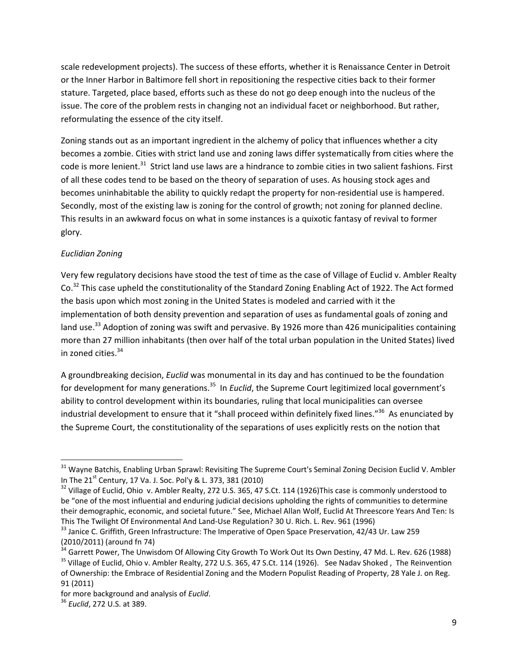scale redevelopment projects). The success of these efforts, whether it is Renaissance Center in Detroit or the Inner Harbor in Baltimore fell short in repositioning the respective cities back to their former stature. Targeted, place based, efforts such as these do not go deep enough into the nucleus of the issue. The core of the problem rests in changing not an individual facet or neighborhood. But rather, reformulating the essence of the city itself.

Zoning stands out as an important ingredient in the alchemy of policy that influences whether a city becomes a zombie. Cities with strict land use and zoning laws differ systematically from cities where the code is more lenient.<sup>31</sup> Strict land use laws are a hindrance to zombie cities in two salient fashions. First of all these codes tend to be based on the theory of separation of uses. As housing stock ages and becomes uninhabitable the ability to quickly redapt the property for non-residential use is hampered. Secondly, most of the existing law is zoning for the control of growth; not zoning for planned decline. This results in an awkward focus on what in some instances is a quixotic fantasy of revival to former glory.

### *Euclidian Zoning*

Very few regulatory decisions have stood the test of time as the case of Village of Euclid v. Ambler Realty Co.<sup>32</sup> This case upheld the constitutionality of the Standard Zoning Enabling Act of 1922. The Act formed the basis upon which most zoning in the United States is modeled and carried with it the implementation of both density prevention and separation of uses as fundamental goals of zoning and land use.<sup>33</sup> Adoption of zoning was swift and pervasive. By 1926 more than 426 municipalities containing more than 27 million inhabitants (then over half of the total urban population in the United States) lived in zoned cities.<sup>34</sup>

A groundbreaking decision, *Euclid* was monumental in its day and has continued to be the foundation for development for many generations.<sup>35</sup> In *Euclid*, the Supreme Court legitimized local government's ability to control development within its boundaries, ruling that local municipalities can oversee industrial development to ensure that it "shall proceed within definitely fixed lines."<sup>36</sup> As enunciated by the Supreme Court, the constitutionality of the separations of uses explicitly rests on the notion that

<sup>&</sup>lt;sup>31</sup> Wayne Batchis, Enabling Urban Sprawl: Revisiting The Supreme Court's Seminal Zoning Decision Euclid V. Ambler In The 21<sup>st</sup> Century, 17 Va. J. Soc. Pol'y & L. 373, 381 (2010)<br><sup>32</sup> Village of Euclid, Ohio v. Ambler Realty, 272 U.S. 365, 47 S.Ct. 114 (1926)This case is commonly understood to

be "one of the most influential and enduring judicial decisions upholding the rights of communities to determine their demographic, economic, and societal future." See, Michael Allan Wolf, Euclid At Threescore Years And Ten: Is This The Twilight Of Environmental And Land-Use Regulation? 30 U. Rich. L. Rev. 961 (1996)<br><sup>33</sup> Janice C. Griffith, Green Infrastructure: The Imperative of Open Space Preservation, 42/43 Ur. Law 259

<sup>(2010/2011) (</sup>around fn 74)<br><sup>34</sup> Garrett Power, The Unwisdom Of Allowing City Growth To Work Out Its Own Destiny, 47 Md. L. Rev. 626 (1988)

<sup>&</sup>lt;sup>35</sup> Village of Euclid, Ohio v. Ambler Realty, 272 U.S. 365, 47 S.Ct. 114 (1926). See Nadav Shoked, The Reinvention of Ownership: the Embrace of Residential Zoning and the Modern Populist Reading of Property, 28 Yale J. on Reg. 91 (2011)

for more background and analysis of *Euclid*. <sup>36</sup> *Euclid*, <sup>272</sup> U.S. at 389.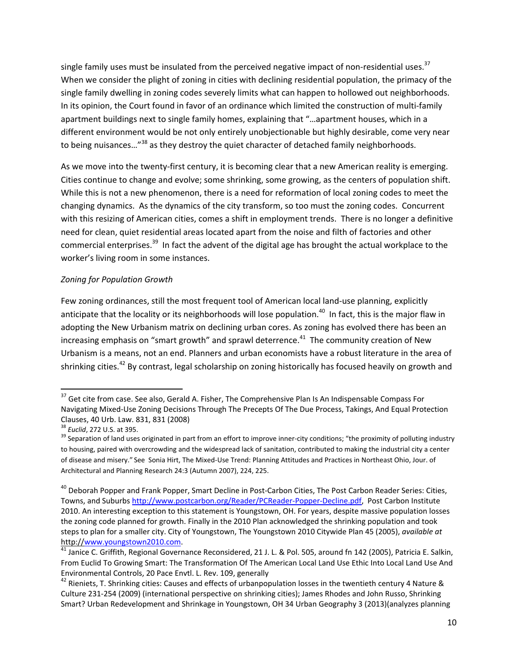single family uses must be insulated from the perceived negative impact of non-residential uses.<sup>37</sup> When we consider the plight of zoning in cities with declining residential population, the primacy of the single family dwelling in zoning codes severely limits what can happen to hollowed out neighborhoods. In its opinion, the Court found in favor of an ordinance which limited the construction of multi‐family apartment buildings next to single family homes, explaining that "…apartment houses, which in a different environment would be not only entirely unobjectionable but highly desirable, come very near to being nuisances..."<sup>38</sup> as they destroy the quiet character of detached family neighborhoods.

As we move into the twenty-first century, it is becoming clear that a new American reality is emerging. Cities continue to change and evolve; some shrinking, some growing, as the centers of population shift. While this is not a new phenomenon, there is a need for reformation of local zoning codes to meet the changing dynamics. As the dynamics of the city transform, so too must the zoning codes. Concurrent with this resizing of American cities, comes a shift in employment trends. There is no longer a definitive need for clean, quiet residential areas located apart from the noise and filth of factories and other commercial enterprises.<sup>39</sup> In fact the advent of the digital age has brought the actual workplace to the worker's living room in some instances.

### *Zoning for Population Growth*

Few zoning ordinances, still the most frequent tool of American local land‐use planning, explicitly anticipate that the locality or its neighborhoods will lose population.<sup>40</sup> In fact, this is the major flaw in adopting the New Urbanism matrix on declining urban cores. As zoning has evolved there has been an increasing emphasis on "smart growth" and sprawl deterrence.<sup>41</sup> The community creation of New Urbanism is a means, not an end. Planners and urban economists have a robust literature in the area of shrinking cities.<sup>42</sup> By contrast, legal scholarship on zoning historically has focused heavily on growth and

 $37$  Get cite from case. See also, Gerald A. Fisher, The Comprehensive Plan Is An Indispensable Compass For Navigating Mixed‐Use Zoning Decisions Through The Precepts Of The Due Process, Takings, And Equal Protection Clauses, 40 Urb. Law. 831, 831 (2008)<br><sup>38</sup> *Euclid*, 272 U.S. at 395.<br><sup>39</sup> Separation of land uses originated in part from an effort to improve inner‐city conditions; "the proximity of polluting industry

to housing, paired with overcrowding and the widespread lack of sanitation, contributed to making the industrial city a center of disease and misery." See Sonia Hirt, The Mixed‐Use Trend: Planning Attitudes and Practices in Northeast Ohio, Jour. of Architectural and Planning Research 24:3 (Autumn 2007), 224, 225.

<sup>&</sup>lt;sup>40</sup> Deborah Popper and Frank Popper, Smart Decline in Post-Carbon Cities, The Post Carbon Reader Series: Cities, Towns, and Suburbs http://www.postcarbon.org/Reader/PCReader‐Popper‐Decline.pdf, Post Carbon Institute 2010. An interesting exception to this statement is Youngstown, OH. For years, despite massive population losses the zoning code planned for growth. Finally in the 2010 Plan acknowledged the shrinking population and took steps to plan for a smaller city. City of Youngstown, The Youngstown 2010 Citywide Plan 45 (2005), *available at* http://www.youngstown2010.com.<br><sup>41</sup> Janice C. Griffith, Regional Governance Reconsidered, 21 J. L. & Pol. 505, around fn 142 (2005), Patricia E. Salkin,

From Euclid To Growing Smart: The Transformation Of The American Local Land Use Ethic Into Local Land Use And Environmental Controls, 20 Pace Envtl. L. Rev. 109, generally<br><sup>42</sup> Rieniets, T. Shrinking cities: Causes and effects of urbanpopulation losses in the twentieth century 4 Nature &

Culture 231‐254 (2009) (international perspective on shrinking cities); James Rhodes and John Russo, Shrinking Smart? Urban Redevelopment and Shrinkage in Youngstown, OH 34 Urban Geography 3 (2013)(analyzes planning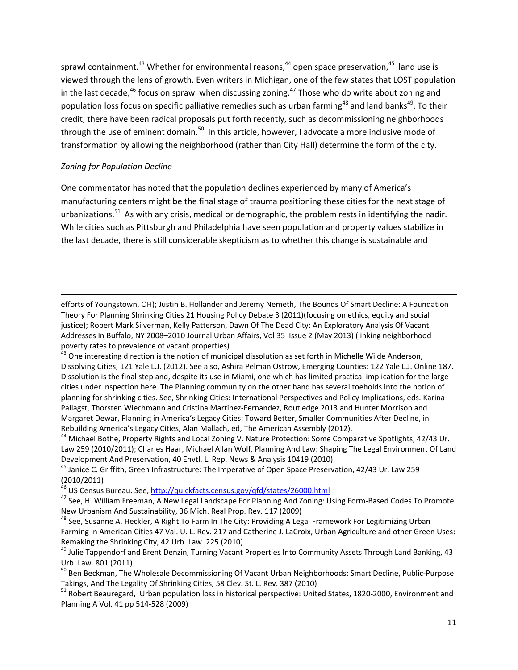sprawl containment.<sup>43</sup> Whether for environmental reasons,<sup>44</sup> open space preservation,<sup>45</sup> land use is viewed through the lens of growth. Even writers in Michigan, one of the few states that LOST population in the last decade, $46$  focus on sprawl when discussing zoning. $47$  Those who do write about zoning and population loss focus on specific palliative remedies such as urban farming<sup>48</sup> and land banks<sup>49</sup>. To their credit, there have been radical proposals put forth recently, such as decommissioning neighborhoods through the use of eminent domain.<sup>50</sup> In this article, however, I advocate a more inclusive mode of transformation by allowing the neighborhood (rather than City Hall) determine the form of the city.

#### *Zoning for Population Decline*

One commentator has noted that the population declines experienced by many of America's manufacturing centers might be the final stage of trauma positioning these cities for the next stage of urbanizations.<sup>51</sup> As with any crisis, medical or demographic, the problem rests in identifying the nadir. While cities such as Pittsburgh and Philadelphia have seen population and property values stabilize in the last decade, there is still considerable skepticism as to whether this change is sustainable and

efforts of Youngstown, OH); Justin B. Hollander and Jeremy Nemeth, The Bounds Of Smart Decline: A Foundation Theory For Planning Shrinking Cities 21 Housing Policy Debate 3 (2011)(focusing on ethics, equity and social justice); Robert Mark Silverman, Kelly Patterson, Dawn Of The Dead City: An Exploratory Analysis Of Vacant Addresses In Buffalo, NY 2008–2010 Journal Urban Affairs, Vol 35 Issue 2 (May 2013) (linking neighborhood poverty rates to prevalence of vacant properties)<br><sup>43</sup> One interesting direction is the notion of municipal dissolution as set forth in Michelle Wilde Anderson,

<u> Andrewski politika (za obrazu pod predsjednika u predsjednika u predsjednika u predsjednika (za obrazu pod p</u>

Law 259 (2010/2011); Charles Haar, Michael Allan Wolf, Planning And Law: Shaping The Legal Environment Of Land Development And Preservation, 40 Envtl. L. Rep. News & Analysis 10419 (2010)<br><sup>45</sup> Janice C. Griffith, Green Infrastructure: The Imperative of Open Space Preservation, 42/43 Ur. Law 259

(2010/2011)<br><sup>46</sup> US Census Bureau. See, http://quickfacts.census.gov/gfd/states/26000.html

<sup>47</sup> See, H. William Freeman, A New Legal Landscape For Planning And Zoning: Using Form-Based Codes To Promote New Urbanism And Sustainability, 36 Mich. Real Prop. Rev. 117 (2009)<br><sup>48</sup> See, Susanne A. Heckler, A Right To Farm In The City: Providing A Legal Framework For Legitimizing Urban

Farming In American Cities 47 Val. U. L. Rev. 217 and Catherine J. LaCroix, Urban Agriculture and other Green Uses: Remaking the Shrinking City, 42 Urb. Law. 225 (2010)<br><sup>49</sup> Julie Tappendorf and Brent Denzin, Turning Vacant Properties Into Community Assets Through Land Banking, 43

Urb. Law. 801 (2011)<br><sup>50</sup> Ben Beckman, The Wholesale Decommissioning Of Vacant Urban Neighborhoods: Smart Decline, Public-Purpose

Takings, And The Legality Of Shrinking Cities, 58 Clev. St. L. Rev. 387 (2010)<br><sup>51</sup> Robert Beauregard, Urban population loss in historical perspective: United States, 1820-2000, Environment and

Planning A Vol. 41 pp 514‐528 (2009)

Dissolving Cities, 121 Yale L.J. (2012). See also, Ashira Pelman Ostrow, Emerging Counties: 122 Yale L.J. Online 187. Dissolution is the final step and, despite its use in Miami, one which has limited practical implication for the large cities under inspection here. The Planning community on the other hand has several toeholds into the notion of planning for shrinking cities. See, Shrinking Cities: International Perspectives and Policy Implications, eds. Karina Pallagst, Thorsten Wiechmann and Cristina Martinez‐Fernandez, Routledge 2013 and Hunter Morrison and Margaret Dewar, Planning in America's Legacy Cities: Toward Better, Smaller Communities After Decline, in Rebuilding America's Legacy Cities, Alan Mallach, ed, The American Assembly (2012).<br><sup>44</sup> Michael Bothe, Property Rights and Local Zoning V. Nature Protection: Some Comparative Spotlights, 42/43 Ur.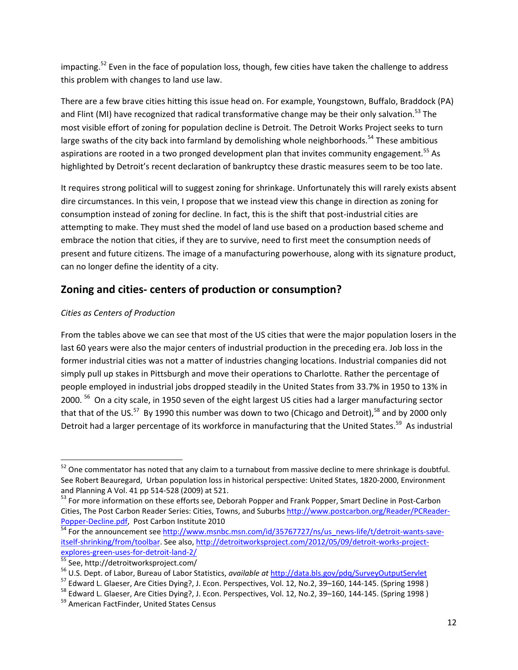impacting.<sup>52</sup> Even in the face of population loss, though, few cities have taken the challenge to address this problem with changes to land use law.

There are a few brave cities hitting this issue head on. For example, Youngstown, Buffalo, Braddock (PA) and Flint (MI) have recognized that radical transformative change may be their only salvation.<sup>53</sup> The most visible effort of zoning for population decline is Detroit. The Detroit Works Project seeks to turn large swaths of the city back into farmland by demolishing whole neighborhoods.<sup>54</sup> These ambitious aspirations are rooted in a two pronged development plan that invites community engagement.<sup>55</sup> As highlighted by Detroit's recent declaration of bankruptcy these drastic measures seem to be too late.

It requires strong political will to suggest zoning for shrinkage. Unfortunately this will rarely exists absent dire circumstances. In this vein, I propose that we instead view this change in direction as zoning for consumption instead of zoning for decline. In fact, this is the shift that post-industrial cities are attempting to make. They must shed the model of land use based on a production based scheme and embrace the notion that cities, if they are to survive, need to first meet the consumption needs of present and future citizens. The image of a manufacturing powerhouse, along with its signature product, can no longer define the identity of a city.

# **Zoning and cities‐ centers of production or consumption?**

### *Cities as Centers of Production*

From the tables above we can see that most of the US cities that were the major population losers in the last 60 years were also the major centers of industrial production in the preceding era. Job loss in the former industrial cities was not a matter of industries changing locations. Industrial companies did not simply pull up stakes in Pittsburgh and move their operations to Charlotte. Rather the percentage of people employed in industrial jobs dropped steadily in the United States from 33.7% in 1950 to 13% in 2000.<sup>56</sup> On a city scale, in 1950 seven of the eight largest US cities had a larger manufacturing sector that that of the US.<sup>57</sup> By 1990 this number was down to two (Chicago and Detroit),<sup>58</sup> and by 2000 only Detroit had a larger percentage of its workforce in manufacturing that the United States.<sup>59</sup> As industrial

 $52$  One commentator has noted that any claim to a turnabout from massive decline to mere shrinkage is doubtful. See Robert Beauregard, Urban population loss in historical perspective: United States, 1820‐2000, Environment and Planning A Vol. 41 pp 514-528 (2009) at 521.<br><sup>53</sup> For more information on these efforts see, Deborah Popper and Frank Popper, Smart Decline in Post‐Carbon

Cities, The Post Carbon Reader Series: Cities, Towns, and Suburbs http://www.postcarbon.org/Reader/PCReader-<br>Popper-Decline.pdf, Post Carbon Institute 2010

 $\frac{54}{9}$  For the announcement see http://www.msnbc.msn.com/id/35767727/ns/us\_news-life/t/detroit‐wants‐save‐ itself-shrinking/from/toolbar. See also, http://detroitworksproject.com/2012/05/09/detroit-works-project-<br>explores-green-uses-for-detroit-land-2/

<sup>&</sup>lt;sup>55</sup> See, http://detroitworksproject.com/<br><sup>56</sup> U.S. Dept. of Labor, Bureau of Labor Statistics, *available at* http://data.bls.gov/pdq/SurveyOutputServlet<br><sup>57</sup> Edward L. Glaeser, Are Cities Dying?, J. Econ. Perspectives,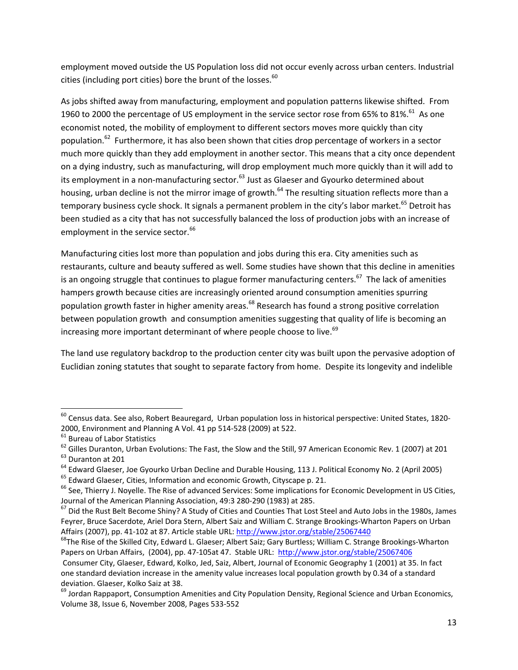employment moved outside the US Population loss did not occur evenly across urban centers. Industrial cities (including port cities) bore the brunt of the losses. $60$ 

As jobs shifted away from manufacturing, employment and population patterns likewise shifted. From 1960 to 2000 the percentage of US employment in the service sector rose from 65% to 81%.<sup>61</sup> As one economist noted, the mobility of employment to different sectors moves more quickly than city population.<sup>62</sup> Furthermore, it has also been shown that cities drop percentage of workers in a sector much more quickly than they add employment in another sector. This means that a city once dependent on a dying industry, such as manufacturing, will drop employment much more quickly than it will add to its employment in a non-manufacturing sector.<sup>63</sup> Just as Glaeser and Gyourko determined about housing, urban decline is not the mirror image of growth.<sup>64</sup> The resulting situation reflects more than a temporary business cycle shock. It signals a permanent problem in the city's labor market.<sup>65</sup> Detroit has been studied as a city that has not successfully balanced the loss of production jobs with an increase of employment in the service sector.<sup>66</sup>

Manufacturing cities lost more than population and jobs during this era. City amenities such as restaurants, culture and beauty suffered as well. Some studies have shown that this decline in amenities is an ongoing struggle that continues to plague former manufacturing centers.<sup>67</sup> The lack of amenities hampers growth because cities are increasingly oriented around consumption amenities spurring population growth faster in higher amenity areas.<sup>68</sup> Research has found a strong positive correlation between population growth and consumption amenities suggesting that quality of life is becoming an increasing more important determinant of where people choose to live.<sup>69</sup>

The land use regulatory backdrop to the production center city was built upon the pervasive adoption of Euclidian zoning statutes that sought to separate factory from home. Despite its longevity and indelible

 $^{60}$  Census data. See also, Robert Beauregard, Urban population loss in historical perspective: United States, 1820-

<sup>2000,</sup> Environment and Planning A Vol. 41 pp 514-528 (2009) at 522.<br>  $61$  Bureau of Labor Statistics<br>  $62$  Gilles Duranton, Urban Evolutions: The Fast, the Slow and the Still, 97 American Economic Rev. 1 (2007) at 201<br>  $63$ 

Journal of the American Planning Association, 49:3 280-290 (1983) at 285.<br><sup>67</sup> Did the Rust Belt Become Shiny? A Study of Cities and Counties That Lost Steel and Auto Jobs in the 1980s, James

Feyrer, Bruce Sacerdote, Ariel Dora Stern, Albert Saiz and William C. Strange Brookings‐Wharton Papers on Urban Affairs (2007), pp. 41-102 at 87. Article stable URL: http://www.jstor.org/stable/25067440<br><sup>68</sup>The Rise of the Skilled City, Edward L. Glaeser; Albert Saiz; Gary Burtless; William C. Strange Brookings-Wharton

Papers on Urban Affairs, (2004), pp. 47-105at 47. Stable URL: http://www.jstor.org/stable/25067406

Consumer City, Glaeser, Edward, Kolko, Jed, Saiz, Albert, Journal of Economic Geography 1 (2001) at 35. In fact one standard deviation increase in the amenity value increases local population growth by 0.34 of a standard deviation. Glaeser, Kolko Saiz at 38.<br><sup>69</sup> Jordan Rappaport, Consumption Amenities and City Population Density, Regional Science and Urban Economics,

Volume 38, Issue 6, November 2008, Pages 533‐552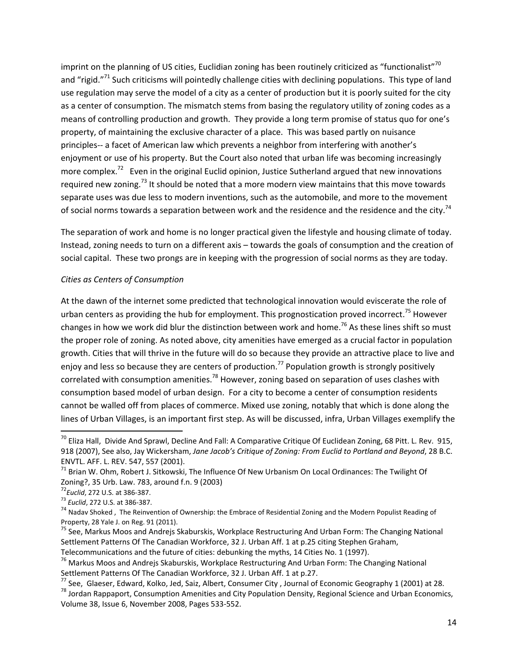imprint on the planning of US cities, Euclidian zoning has been routinely criticized as "functionalist"<sup>70</sup> and "rigid."<sup>71</sup> Such criticisms will pointedly challenge cities with declining populations. This type of land use regulation may serve the model of a city as a center of production but it is poorly suited for the city as a center of consumption. The mismatch stems from basing the regulatory utility of zoning codes as a means of controlling production and growth. They provide a long term promise of status quo for one's property, of maintaining the exclusive character of a place. This was based partly on nuisance principles‐‐ a facet of American law which prevents a neighbor from interfering with another's enjoyment or use of his property. But the Court also noted that urban life was becoming increasingly more complex.<sup>72</sup> Even in the original Euclid opinion, Justice Sutherland argued that new innovations required new zoning.<sup>73</sup> It should be noted that a more modern view maintains that this move towards separate uses was due less to modern inventions, such as the automobile, and more to the movement of social norms towards a separation between work and the residence and the residence and the city.<sup>74</sup>

The separation of work and home is no longer practical given the lifestyle and housing climate of today. Instead, zoning needs to turn on a different axis – towards the goals of consumption and the creation of social capital. These two prongs are in keeping with the progression of social norms as they are today.

#### *Cities as Centers of Consumption*

At the dawn of the internet some predicted that technological innovation would eviscerate the role of urban centers as providing the hub for employment. This prognostication proved incorrect.<sup>75</sup> However changes in how we work did blur the distinction between work and home.<sup>76</sup> As these lines shift so must the proper role of zoning. As noted above, city amenities have emerged as a crucial factor in population growth. Cities that will thrive in the future will do so because they provide an attractive place to live and enjoy and less so because they are centers of production.<sup>77</sup> Population growth is strongly positively correlated with consumption amenities.<sup>78</sup> However, zoning based on separation of uses clashes with consumption based model of urban design. For a city to become a center of consumption residents cannot be walled off from places of commerce. Mixed use zoning, notably that which is done along the lines of Urban Villages, is an important first step. As will be discussed, infra, Urban Villages exemplify the

 $70$  Eliza Hall, Divide And Sprawl, Decline And Fall: A Comparative Critique Of Euclidean Zoning, 68 Pitt. L. Rev. 915, 918 (2007), See also, Jay Wickersham, *Jane Jacob's Critique of Zoning: From Euclid to Portland and Beyond*, 28 B.C.

ENVTL. AFF. L. REV. 547, 557 (2001).<br><sup>71</sup> Brian W. Ohm, Robert J. Sitkowski, The Influence Of New Urbanism On Local Ordinances: The Twilight Of Zoning?, 35 Urb. Law. 783, around f.n. 9 (2003)<br><sup>72</sup>*Euclid*, 272 U.S. at 386-387.<br><sup>73</sup> *Euclid*, 272 U.S. at 386-387.

<sup>&</sup>lt;sup>74</sup> Nadav Shoked, The Reinvention of Ownership: the Embrace of Residential Zoning and the Modern Populist Reading of<br>Property, 28 Yale J. on Reg. 91 (2011).

<sup>&</sup>lt;sup>75</sup> See, Markus Moos and Andrejs Skaburskis, Workplace Restructuring And Urban Form: The Changing National Settlement Patterns Of The Canadian Workforce, 32 J. Urban Aff. 1 at p.25 citing Stephen Graham,<br>Telecommunications and the future of cities: debunking the myths, 14 Cities No. 1 (1997).

<sup>&</sup>lt;sup>76</sup> Markus Moos and Andrejs Skaburskis, Workplace Restructuring And Urban Form: The Changing National<br>Settlement Patterns Of The Canadian Workforce, 32 J. Urban Aff. 1 at p.27.

 $^{77}$  See, Glaeser, Edward, Kolko, Jed, Saiz, Albert, Consumer City, Journal of Economic Geography 1 (2001) at 28.<br><sup>78</sup> Jordan Rappaport, Consumption Amenities and City Population Density, Regional Science and Urban Econ

Volume 38, Issue 6, November 2008, Pages 533‐552.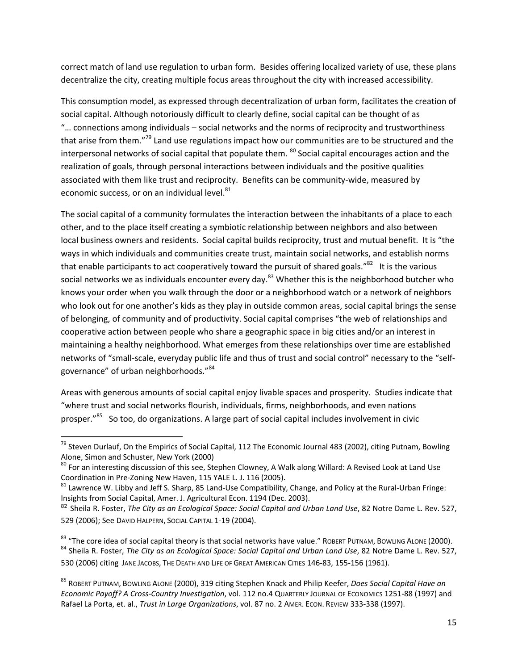correct match of land use regulation to urban form. Besides offering localized variety of use, these plans decentralize the city, creating multiple focus areas throughout the city with increased accessibility.

This consumption model, as expressed through decentralization of urban form, facilitates the creation of social capital. Although notoriously difficult to clearly define, social capital can be thought of as "… connections among individuals – social networks and the norms of reciprocity and trustworthiness that arise from them."<sup>79</sup> Land use regulations impact how our communities are to be structured and the interpersonal networks of social capital that populate them. <sup>80</sup> Social capital encourages action and the realization of goals, through personal interactions between individuals and the positive qualities associated with them like trust and reciprocity. Benefits can be community-wide, measured by economic success, or on an individual level.<sup>81</sup>

The social capital of a community formulates the interaction between the inhabitants of a place to each other, and to the place itself creating a symbiotic relationship between neighbors and also between local business owners and residents. Social capital builds reciprocity, trust and mutual benefit. It is "the ways in which individuals and communities create trust, maintain social networks, and establish norms that enable participants to act cooperatively toward the pursuit of shared goals." $82$  It is the various social networks we as individuals encounter every day.<sup>83</sup> Whether this is the neighborhood butcher who knows your order when you walk through the door or a neighborhood watch or a network of neighbors who look out for one another's kids as they play in outside common areas, social capital brings the sense of belonging, of community and of productivity. Social capital comprises "the web of relationships and cooperative action between people who share a geographic space in big cities and/or an interest in maintaining a healthy neighborhood. What emerges from these relationships over time are established networks of "small‐scale, everyday public life and thus of trust and social control" necessary to the "self‐ governance" of urban neighborhoods."<sup>84</sup>

Areas with generous amounts of social capital enjoy livable spaces and prosperity. Studies indicate that "where trust and social networks flourish, individuals, firms, neighborhoods, and even nations prosper."<sup>85</sup> So too, do organizations. A large part of social capital includes involvement in civic

  $79$  Steven Durlauf, On the Empirics of Social Capital, 112 The Economic Journal 483 (2002), citing Putnam, Bowling

Alone, Simon and Schuster, New York (2000)<br><sup>80</sup> For an interesting discussion of this see, Stephen Clowney, A Walk along Willard: A Revised Look at Land Use<br>Coordination in Pre-Zoning New Haven, 115 YALE L. J. 116 (2005).

 $81$  Lawrence W. Libby and Jeff S. Sharp, 85 Land‐Use Compatibility, Change, and Policy at the Rural‐Urban Fringe: Insights from Social Capital, Amer. J. Agricultural Econ. 1194 (Dec. 2003).

<sup>82</sup> Sheila R. Foster, *The City as an Ecological Space: Social Capital and Urban Land Use*, 82 Notre Dame L. Rev. 527, 529 (2006); See DAVID HALPERN, SOCIAL CAPITAL 1‐19 (2004).

<sup>&</sup>lt;sup>83</sup> "The core idea of social capital theory is that social networks have value." ROBERT PUTNAM, BOWLING ALONE (2000).<br><sup>84</sup> Sheila R. Foster, *The City as an Ecological Space: Social Capital and Urban Land Use*, 82 Notre D 530 (2006) citing JANE JACOBS, THE DEATH AND LIFE OF GREAT AMERICAN CITIES 146‐83, 155‐156 (1961).

<sup>85</sup> ROBERT PUTNAM, BOWLING ALONE (2000), 319 citing Stephen Knack and Philip Keefer, *Does Social Capital Have an Economic Payoff? A Cross‐Country Investigation*, vol. 112 no.4 QUARTERLY JOURNAL OF ECONOMICS 1251‐88 (1997) and Rafael La Porta, et. al., *Trust in Large Organizations*, vol. 87 no. 2 AMER. ECON. REVIEW 333‐338 (1997).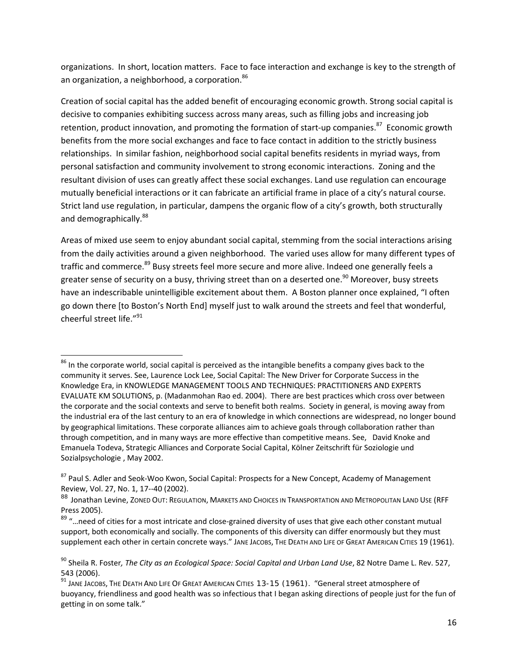organizations. In short, location matters. Face to face interaction and exchange is key to the strength of an organization, a neighborhood, a corporation.<sup>86</sup>

Creation of social capital has the added benefit of encouraging economic growth. Strong social capital is decisive to companies exhibiting success across many areas, such as filling jobs and increasing job retention, product innovation, and promoting the formation of start-up companies.<sup>87</sup> Economic growth benefits from the more social exchanges and face to face contact in addition to the strictly business relationships. In similar fashion, neighborhood social capital benefits residents in myriad ways, from personal satisfaction and community involvement to strong economic interactions. Zoning and the resultant division of uses can greatly affect these social exchanges. Land use regulation can encourage mutually beneficial interactions or it can fabricate an artificial frame in place of a city's natural course. Strict land use regulation, in particular, dampens the organic flow of a city's growth, both structurally and demographically.<sup>88</sup>

Areas of mixed use seem to enjoy abundant social capital, stemming from the social interactions arising from the daily activities around a given neighborhood. The varied uses allow for many different types of traffic and commerce.<sup>89</sup> Busy streets feel more secure and more alive. Indeed one generally feels a greater sense of security on a busy, thriving street than on a deserted one.<sup>90</sup> Moreover, busy streets have an indescribable unintelligible excitement about them. A Boston planner once explained, "I often go down there [to Boston's North End] myself just to walk around the streets and feel that wonderful, cheerful street life."<sup>91</sup>

 $^{86}$  In the corporate world, social capital is perceived as the intangible benefits a company gives back to the community it serves. See, Laurence Lock Lee, Social Capital: The New Driver for Corporate Success in the Knowledge Era, in KNOWLEDGE MANAGEMENT TOOLS AND TECHNIQUES: PRACTITIONERS AND EXPERTS EVALUATE KM SOLUTIONS, p. (Madanmohan Rao ed. 2004). There are best practices which cross over between the corporate and the social contexts and serve to benefit both realms. Society in general, is moving away from the industrial era of the last century to an era of knowledge in which connections are widespread, no longer bound by geographical limitations. These corporate alliances aim to achieve goals through collaboration rather than through competition, and in many ways are more effective than competitive means. See, David Knoke and Emanuela Todeva, Strategic Alliances and Corporate Social Capital, Kölner Zeitschrift für Soziologie und Sozialpsychologie , May 2002.

<sup>&</sup>lt;sup>87</sup> Paul S. Adler and Seok-Woo Kwon, Social Capital: Prospects for a New Concept, Academy of Management Review, Vol. 27, No. 1, 17‐‐40 (2002).

<sup>88</sup> Jonathan Levine, ZONED OUT: REGULATION, MARKETS AND CHOICES IN TRANSPORTATION AND METROPOLITAN LAND USE (RFF Press 2005).

<sup>89 &</sup>quot;...need of cities for a most intricate and close-grained diversity of uses that give each other constant mutual support, both economically and socially. The components of this diversity can differ enormously but they must supplement each other in certain concrete ways." JANE JACOBS, THE DEATH AND LIFE OF GREAT AMERICAN CITIES 19 (1961).

<sup>90</sup> Sheila R. Foster*, The City as an Ecological Space: Social Capital and Urban Land Use*, 82 Notre Dame L. Rev. 527,

<sup>543 (2006).&</sup>lt;br><sup>91</sup> JANE JACOBS, THE DEATH AND LIFE OF GREAT AMERICAN CITIES 13-15 (1961). "General street atmosphere of buoyancy, friendliness and good health was so infectious that I began asking directions of people just for the fun of getting in on some talk."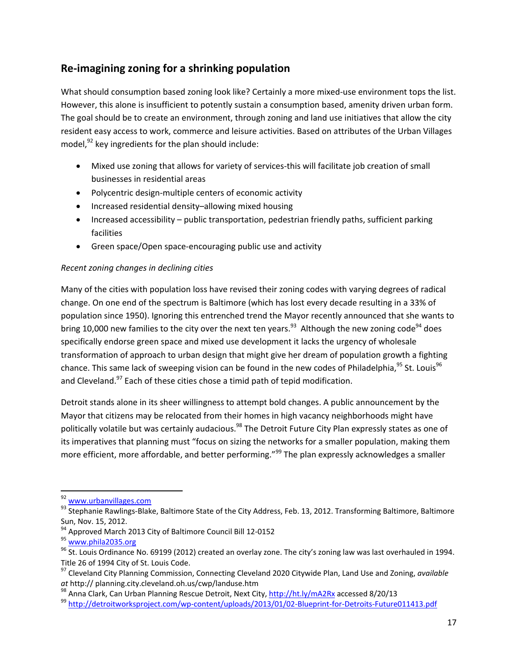# **Re‐imagining zoning for a shrinking population**

What should consumption based zoning look like? Certainly a more mixed-use environment tops the list. However, this alone is insufficient to potently sustain a consumption based, amenity driven urban form. The goal should be to create an environment, through zoning and land use initiatives that allow the city resident easy access to work, commerce and leisure activities. Based on attributes of the Urban Villages model, $^{92}$  key ingredients for the plan should include:

- Mixed use zoning that allows for variety of services-this will facilitate job creation of small businesses in residential areas
- Polycentric design-multiple centers of economic activity
- Increased residential density–allowing mixed housing
- Increased accessibility public transportation, pedestrian friendly paths, sufficient parking facilities
- Green space/Open space‐encouraging public use and activity

### *Recent zoning changes in declining cities*

Many of the cities with population loss have revised their zoning codes with varying degrees of radical change. On one end of the spectrum is Baltimore (which has lost every decade resulting in a 33% of population since 1950). Ignoring this entrenched trend the Mayor recently announced that she wants to bring 10,000 new families to the city over the next ten years.<sup>93</sup> Although the new zoning code<sup>94</sup> does specifically endorse green space and mixed use development it lacks the urgency of wholesale transformation of approach to urban design that might give her dream of population growth a fighting chance. This same lack of sweeping vision can be found in the new codes of Philadelphia,  $95$  St. Louis  $96$ and Cleveland.<sup>97</sup> Each of these cities chose a timid path of tepid modification.

Detroit stands alone in its sheer willingness to attempt bold changes. A public announcement by the Mayor that citizens may be relocated from their homes in high vacancy neighborhoods might have politically volatile but was certainly audacious.<sup>98</sup> The Detroit Future City Plan expressly states as one of its imperatives that planning must "focus on sizing the networks for a smaller population, making them more efficient, more affordable, and better performing."<sup>99</sup> The plan expressly acknowledges a smaller

<sup>92</sup> www.urbanvillages.com

<sup>93</sup> Stephanie Rawlings-Blake, Baltimore State of the City Address, Feb. 13, 2012. Transforming Baltimore, Baltimore

Sun, Nov. 15, 2012.<br><sup>94</sup> Approved March 2013 City of Baltimore Council Bill 12-0152<br><sup>95</sup> <u>www.phila2035.org</u><br><sup>96</sup> St. Louis Ordinance No. 69199 (2012) created an overlay zone. The city's zoning law was last overhauled in 1

Title 26 of 1994 City of St. Louis Code.<br><sup>97</sup> Cleveland City Planning Commission, Connecting Cleveland 2020 Citywide Plan, Land Use and Zoning, *available*<br>*at* http:// planning.city.cleveland.oh.us/cwp/landuse.htm

<sup>&</sup>lt;sup>98</sup> Anna Clark, Can Urban Planning Rescue Detroit, Next City, http://ht.ly/mA2Rx accessed 8/20/13<br><sup>99</sup> http://detroitworksproiect.com/wp-content/uploads/2013/01/02-Blueprint-for-Detroits-Future011413.pdf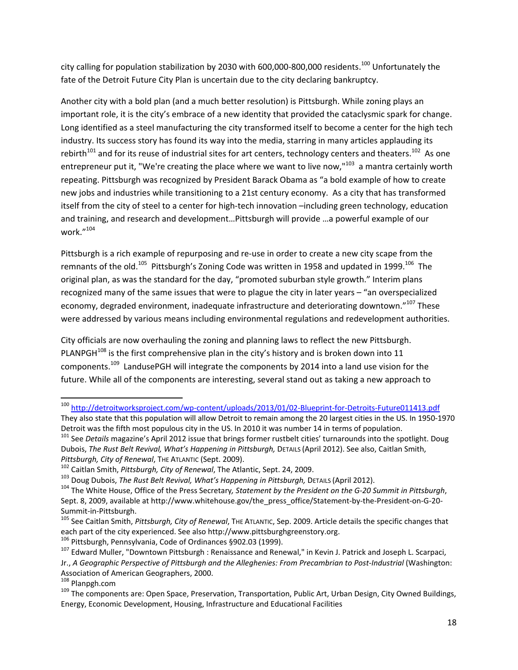city calling for population stabilization by 2030 with 600,000-800,000 residents.<sup>100</sup> Unfortunately the fate of the Detroit Future City Plan is uncertain due to the city declaring bankruptcy.

Another city with a bold plan (and a much better resolution) is Pittsburgh. While zoning plays an important role, it is the city's embrace of a new identity that provided the cataclysmic spark for change. Long identified as a steel manufacturing the city transformed itself to become a center for the high tech industry. Its success story has found its way into the media, starring in many articles applauding its rebirth<sup>101</sup> and for its reuse of industrial sites for art centers, technology centers and theaters.<sup>102</sup> As one entrepreneur put it, "We're creating the place where we want to live now,"<sup>103</sup> a mantra certainly worth repeating. Pittsburgh was recognized by President Barack Obama as "a bold example of how to create new jobs and industries while transitioning to a 21st century economy. As a city that has transformed itself from the city of steel to a center for high‐tech innovation –including green technology, education and training, and research and development…Pittsburgh will provide …a powerful example of our work."<sup>104</sup>

Pittsburgh is a rich example of repurposing and re‐use in order to create a new city scape from the remnants of the old.<sup>105</sup> Pittsburgh's Zoning Code was written in 1958 and updated in 1999.<sup>106</sup> The original plan, as was the standard for the day, "promoted suburban style growth." Interim plans recognized many of the same issues that were to plague the city in later years – "an overspecialized economy, degraded environment, inadequate infrastructure and deteriorating downtown."<sup>107</sup> These were addressed by various means including environmental regulations and redevelopment authorities.

City officials are now overhauling the zoning and planning laws to reflect the new Pittsburgh. PLANPGH $108$  is the first comprehensive plan in the city's history and is broken down into 11 components.<sup>109</sup> LandusePGH will integrate the components by 2014 into a land use vision for the future. While all of the components are interesting, several stand out as taking a new approach to

 <sup>100</sup> http://detroitworksproject.com/wp-content/uploads/2013/01/02-Blueprint-for-Detroits-Future011413.pdf

They also state that this population will allow Detroit to remain among the 20 largest cities in the US. In 1950-1970<br>Detroit was the fifth most populous city in the US. In 2010 it was number 14 in terms of population.

<sup>&</sup>lt;sup>101</sup> See Details magazine's April 2012 issue that brings former rustbelt cities' turnarounds into the spotlight. Doug Dubois, *The Rust Belt Revival, What's Happening in Pittsburgh,* DETAILS (April 2012). See also, Caitlan Smith, Pittsburgh, City of Renewal, The ATLANTIC (Sept. 2009).<br><sup>102</sup> Caitlan Smith, Pittsburgh, City of Renewal, The Atlantic, Sept. 24, 2009.<br><sup>103</sup> Doug Dubois, *The Rust Belt Revival, What's Happening in Pittsburgh*, Derails (A

Sept. 8, 2009, available at http://www.whitehouse.gov/the\_press\_office/Statement-by-the-President-on-G-20-

Summit-in-Pittsburgh.<br><sup>105</sup> See Caitlan Smith, *Pittsburgh, City of Renewal*, The ATLANTIC, Sep. 2009. Article details the specific changes that each part of the city experienced. See also http://www.pittsburghgreenstory.o

<sup>&</sup>lt;sup>106</sup> Pittsburgh, Pennsylvania, Code of Ordinances §902.03 (1999).<br><sup>107</sup> Edward Muller, "Downtown Pittsburgh : Renaissance and Renewal," in Kevin J. Patrick and Joseph L. Scarpaci, Jr., *A Geographic Perspective of Pittsburgh and the Alleghenies: From Precambrian to Post‐Industrial* (Washington:

Association of American Geographers, 2000.<br><sup>108</sup> Planpgh.com<br><sup>109</sup> The components are: Open Space, Preservation, Transportation, Public Art, Urban Design, City Owned Buildings, Energy, Economic Development, Housing, Infrastructure and Educational Facilities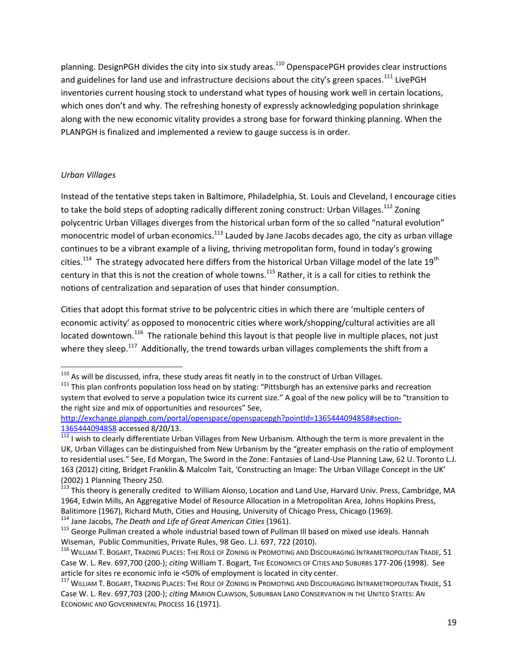planning. DesignPGH divides the city into six study areas.<sup>110</sup> OpenspacePGH provides clear instructions and guidelines for land use and infrastructure decisions about the city's green spaces.<sup>111</sup> LivePGH inventories current housing stock to understand what types of housing work well in certain locations, which ones don't and why. The refreshing honesty of expressly acknowledging population shrinkage along with the new economic vitality provides a strong base for forward thinking planning. When the PLANPGH is finalized and implemented a review to gauge success is in order.

### *Urban Villages*

Instead of the tentative steps taken in Baltimore, Philadelphia, St. Louis and Cleveland, I encourage cities to take the bold steps of adopting radically different zoning construct: Urban Villages.<sup>112</sup> Zoning polycentric Urban Villages diverges from the historical urban form of the so called "natural evolution" monocentric model of urban economics.<sup>113</sup> Lauded by Jane Jacobs decades ago, the city as urban village continues to be a vibrant example of a living, thriving metropolitan form, found in today's growing cities.<sup>114</sup> The strategy advocated here differs from the historical Urban Village model of the late 19<sup>th</sup> century in that this is not the creation of whole towns.<sup>115</sup> Rather, it is a call for cities to rethink the notions of centralization and separation of uses that hinder consumption.

Cities that adopt this format strive to be polycentric cities in which there are 'multiple centers of economic activity' as opposed to monocentric cities where work/shopping/cultural activities are all located downtown.<sup>116</sup> The rationale behind this layout is that people live in multiple places, not just where they sleep.<sup>117</sup> Additionally, the trend towards urban villages complements the shift from a

<sup>&</sup>lt;sup>110</sup> As will be discussed, infra, these study areas fit neatly in to the construct of Urban Villages.<br><sup>111</sup> This plan confronts population loss head on by stating: "Pittsburgh has an extensive parks and recreation system that evolved to serve a population twice its current size." A goal of the new policy will be to "transition to the right size and mix of opportunities and resources" See,

http://exchange.planpgh.com/portal/openspace/openspacepgh?pointId=1365444094858#section-

<sup>1365444094858</sup> accessed 8/20/13.<br><sup>112</sup> I wish to clearly differentiate Urban Villages from New Urbanism. Although the term is more prevalent in the UK, Urban Villages can be distinguished from New Urbanism by the "greater emphasis on the ratio of employment to residential uses." See, Ed Morgan, The Sword in the Zone: Fantasies of Land‐Use Planning Law, 62 U. Toronto L.J. 163 (2012) citing, Bridget Franklin & Malcolm Tait, 'Constructing an Image: The Urban Village Concept in the UK'

<sup>&</sup>lt;sup>113</sup> This theory is generally credited to William Alonso, Location and Land Use, Harvard Univ. Press, Cambridge, MA 1964, Edwin Mills, An Aggregative Model of Resource Allocation in a Metropolitan Area, Johns Hopkins Press, Balitimore (1967), Richard Muth, Cities and Housing, University of Chicago Press, Chicago (1969).<br><sup>114</sup> Jane Jacobs, *The Death and Life of Great American Cities* (1961).<br><sup>115</sup> George Pullman created a whole industrial bas

Wiseman, Public Communities, Private Rules, 98 Geo. L.J. 697, 722 (2010).<br><sup>116</sup> WILLIAM T. BOGART, TRADING PLACES: THE ROLE OF ZONING IN PROMOTING AND DISCOURAGING INTRAMETROPOLITAN TRADE, 51 Case W. L. Rev. 697,700 (200‐); *citing* William T. Bogart, THE ECONOMICS OF CITIES AND SUBURBS 177‐206 (1998). See

article for sites re economic info ie <50% of employment is located in city center.<br><sup>117</sup> WILLIAM T. BOGART, TRADING PLACES: THE ROLE OF ZONING IN PROMOTING AND DISCOURAGING INTRAMETROPOLITAN TRADE, 51 Case W. L. Rev. 697,703 (200‐); *citing* MARION CLAWSON, SUBURBAN LAND CONSERVATION IN THE UNITED STATES: AN ECONOMIC AND GOVERNMENTAL PROCESS 16 (1971).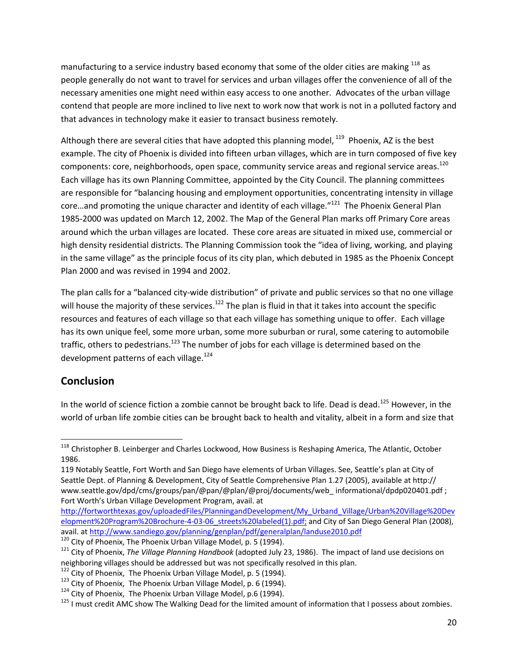manufacturing to a service industry based economy that some of the older cities are making  $^{118}$  as people generally do not want to travel for services and urban villages offer the convenience of all of the necessary amenities one might need within easy access to one another. Advocates of the urban village contend that people are more inclined to live next to work now that work is not in a polluted factory and that advances in technology make it easier to transact business remotely.

Although there are several cities that have adopted this planning model, <sup>119</sup> Phoenix, AZ is the best example. The city of Phoenix is divided into fifteen urban villages, which are in turn composed of five key components: core, neighborhoods, open space, community service areas and regional service areas.<sup>120</sup> Each village has its own Planning Committee, appointed by the City Council. The planning committees are responsible for "balancing housing and employment opportunities, concentrating intensity in village core...and promoting the unique character and identity of each village."<sup>121</sup> The Phoenix General Plan 1985-2000 was updated on March 12, 2002. The Map of the General Plan marks off Primary Core areas around which the urban villages are located. These core areas are situated in mixed use, commercial or high density residential districts. The Planning Commission took the "idea of living, working, and playing in the same village" as the principle focus of its city plan, which debuted in 1985 as the Phoenix Concept Plan 2000 and was revised in 1994 and 2002.

The plan calls for a "balanced city-wide distribution" of private and public services so that no one village will house the majority of these services.<sup>122</sup> The plan is fluid in that it takes into account the specific resources and features of each village so that each village has something unique to offer. Each village has its own unique feel, some more urban, some more suburban or rural, some catering to automobile traffic, others to pedestrians.<sup>123</sup> The number of jobs for each village is determined based on the development patterns of each village.<sup>124</sup>

# **Conclusion**

In the world of science fiction a zombie cannot be brought back to life. Dead is dead.<sup>125</sup> However. in the world of urban life zombie cities can be brought back to health and vitality, albeit in a form and size that

http://fortworthtexas.gov/uploadedFiles/PlanningandDevelopment/My\_Urband\_Village/Urban%20Village%20Dev elopment%20Program%20Brochure-4-03-06\_streets%20labeled(1).pdf; and City of San Diego General Plan (2008), avail. at http://www.sandiego.gov/planning/genplan/pdf/generalplan/landuse2010.pdf

<sup>&</sup>lt;sup>118</sup> Christopher B. Leinberger and Charles Lockwood, How Business is Reshaping America, The Atlantic, October 1986.

<sup>119</sup> Notably Seattle, Fort Worth and San Diego have elements of Urban Villages. See, Seattle's plan at City of Seattle Dept. of Planning & Development, City of Seattle Comprehensive Plan 1.27 (2005), available at http:// www.seattle.gov/dpd/cms/groups/pan/@pan/@plan/@proj/documents/web\_ informational/dpdp020401.pdf ; Fort Worth's Urban Village Development Program, avail. at

<sup>&</sup>lt;sup>120</sup> City of Phoenix, The Phoenix Urban Village Model, p. 5 (1994).<br><sup>121</sup> City of Phoenix, *The Village Planning Handbook* (adopted July 23, 1986). The impact of land use decisions on

neighboring villages should be addressed but was not specifically resolved in this plan.<br><sup>122</sup> City of Phoenix, The Phoenix Urban Village Model, p. 5 (1994).<br><sup>123</sup> City of Phoenix, The Phoenix Urban Village Model, p. 6 (19